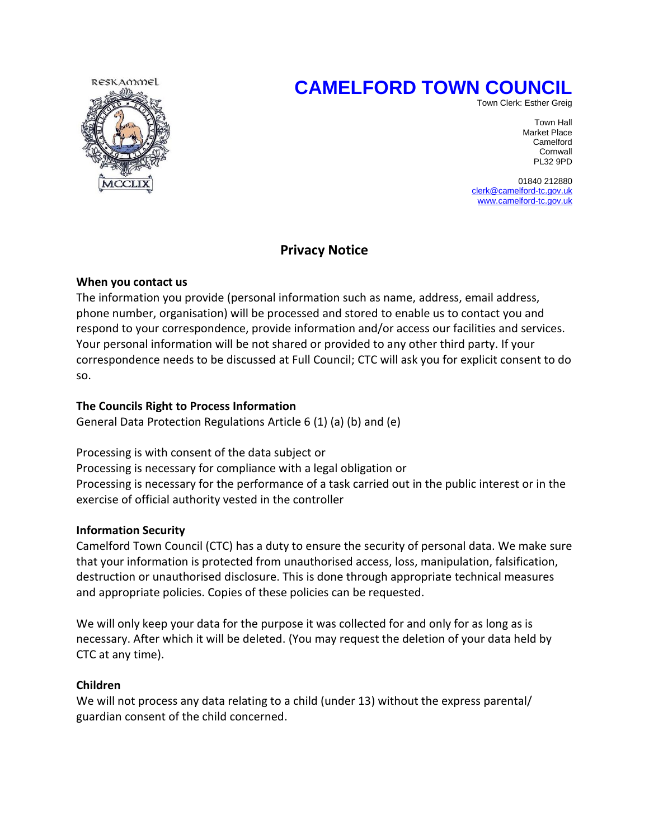# **CAMELFORD TOWN COUNCIL**



Town Clerk: Esther Greig

Town Hall Market Place **Camelford Camelford Camelford Cornwall** PL32 9PD

> 01840 212880 [clerk@camelford-tc.gov.uk](mailto:clerk@camelford-tc.gov.uk) [www.camelford-tc.gov.uk](http://www.camelfordtown.net/)

## **Privacy Notice**

## **When you contact us**

The information you provide (personal information such as name, address, email address, phone number, organisation) will be processed and stored to enable us to contact you and respond to your correspondence, provide information and/or access our facilities and services. Your personal information will be not shared or provided to any other third party. If your correspondence needs to be discussed at Full Council; CTC will ask you for explicit consent to do so.

## **The Councils Right to Process Information**

General Data Protection Regulations Article 6 (1) (a) (b) and (e)

Processing is with consent of the data subject or Processing is necessary for compliance with a legal obligation or Processing is necessary for the performance of a task carried out in the public interest or in the exercise of official authority vested in the controller

## **Information Security**

Camelford Town Council (CTC) has a duty to ensure the security of personal data. We make sure that your information is protected from unauthorised access, loss, manipulation, falsification, destruction or unauthorised disclosure. This is done through appropriate technical measures and appropriate policies. Copies of these policies can be requested.

We will only keep your data for the purpose it was collected for and only for as long as is necessary. After which it will be deleted. (You may request the deletion of your data held by CTC at any time).

#### **Children**

We will not process any data relating to a child (under 13) without the express parental/ guardian consent of the child concerned.